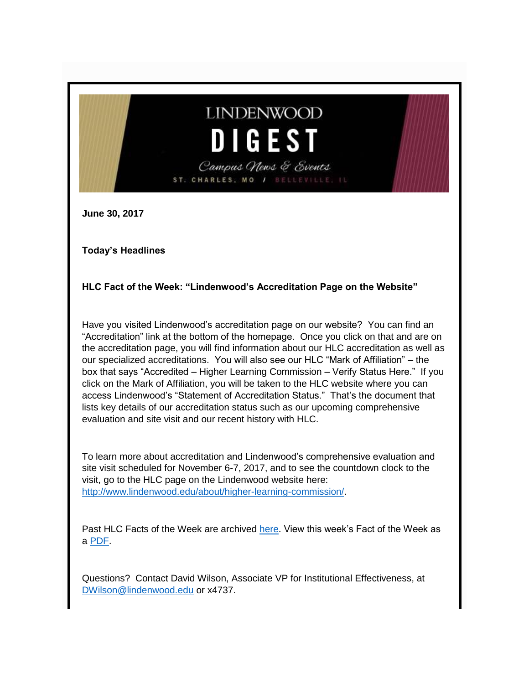# **LINDENWOOD DIGEST** Campus News & Events

**June 30, 2017**

**Today's Headlines**

**HLC Fact of the Week: "Lindenwood's Accreditation Page on the Website"**

ST. CHARLES, MO

Have you visited Lindenwood's accreditation page on our website? You can find an "Accreditation" link at the bottom of the homepage. Once you click on that and are on the accreditation page, you will find information about our HLC accreditation as well as our specialized accreditations. You will also see our HLC "Mark of Affiliation" – the box that says "Accredited – Higher Learning Commission – Verify Status Here." If you click on the Mark of Affiliation, you will be taken to the HLC website where you can access Lindenwood's "Statement of Accreditation Status." That's the document that lists key details of our accreditation status such as our upcoming comprehensive evaluation and site visit and our recent history with HLC.

To learn more about accreditation and Lindenwood's comprehensive evaluation and site visit scheduled for November 6-7, 2017, and to see the countdown clock to the visit, go to the HLC page on the Lindenwood website here: [http://www.lindenwood.edu/about/higher-learning-commission/.](http://www.lindenwood.edu/about/higher-learning-commission/)

Past HLC Facts of the Week are archived [here.](http://www.lindenwood.edu/about/higher-learning-commission/hlc-facts/) View this week's Fact of the Week as a [PDF.](http://felix.lindenwood.edu/newsletter/2017_06/fact_june30.pdf)

Questions? Contact David Wilson, Associate VP for Institutional Effectiveness, at [DWilson@lindenwood.edu](mailto:DWilson@lindenwood.edu) or x4737.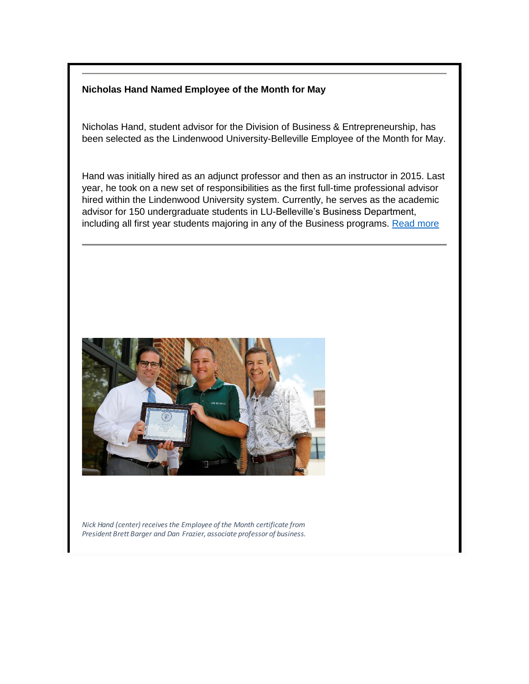#### **Nicholas Hand Named Employee of the Month for May**

Nicholas Hand, student advisor for the Division of Business & Entrepreneurship, has been selected as the Lindenwood University-Belleville Employee of the Month for May.

Hand was initially hired as an adjunct professor and then as an instructor in 2015. Last year, he took on a new set of responsibilities as the first full-time professional advisor hired within the Lindenwood University system. Currently, he serves as the academic advisor for 150 undergraduate students in LU-Belleville's Business Department, including all first year students majoring in any of the Business programs. [Read more](http://felix.lindenwood.edu/newsletter/2017_06/BELLEVILLE_EOM.pdf)



*Nick Hand (center) receives the Employee of the Month certificate from President Brett Barger and Dan Frazier, associate professor of business.*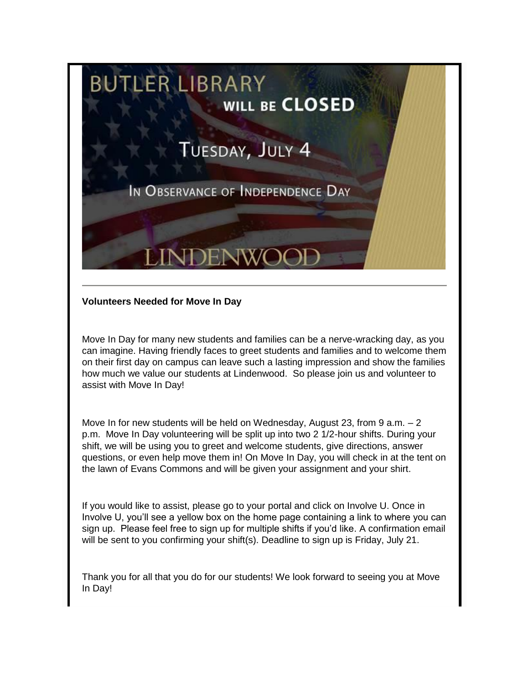

#### **Volunteers Needed for Move In Day**

Move In Day for many new students and families can be a nerve-wracking day, as you can imagine. Having friendly faces to greet students and families and to welcome them on their first day on campus can leave such a lasting impression and show the families how much we value our students at Lindenwood. So please join us and volunteer to assist with Move In Day!

Move In for new students will be held on Wednesday, August 23, from 9 a.m.  $-2$ p.m. Move In Day volunteering will be split up into two 2 1/2-hour shifts. During your shift, we will be using you to greet and welcome students, give directions, answer questions, or even help move them in! On Move In Day, you will check in at the tent on the lawn of Evans Commons and will be given your assignment and your shirt.

If you would like to assist, please go to your portal and click on Involve U. Once in Involve U, you'll see a yellow box on the home page containing a link to where you can sign up. Please feel free to sign up for multiple shifts if you'd like. A confirmation email will be sent to you confirming your shift(s). Deadline to sign up is Friday, July 21.

Thank you for all that you do for our students! We look forward to seeing you at Move In Day!